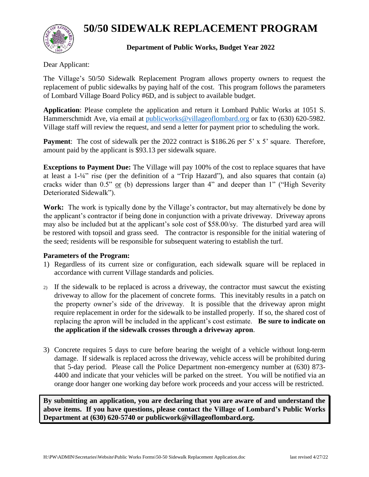## **50/50 SIDEWALK REPLACEMENT PROGRAM**



## **Department of Public Works, Budget Year 2022**

Dear Applicant:

The Village's 50/50 Sidewalk Replacement Program allows property owners to request the replacement of public sidewalks by paying half of the cost. This program follows the parameters of Lombard Village Board Policy #6D, and is subject to available budget.

**Application**: Please complete the application and return it Lombard Public Works at 1051 S. Hammerschmidt Ave, via email at [publicworks@villageoflombard.org](mailto:publicworks@villageoflombard.org) or fax to (630) 620-5982. Village staff will review the request, and send a letter for payment prior to scheduling the work.

**Payment**: The cost of sidewalk per the 2022 contract is \$186.26 per 5' x 5' square. Therefore, amount paid by the applicant is \$93.13 per sidewalk square.

**Exceptions to Payment Due:** The Village will pay 100% of the cost to replace squares that have at least a 1-¼" rise (per the definition of a "Trip Hazard"), and also squares that contain (a) cracks wider than 0.5" or (b) depressions larger than 4" and deeper than 1" ("High Severity Deteriorated Sidewalk").

**Work:** The work is typically done by the Village's contractor, but may alternatively be done by the applicant's contractor if being done in conjunction with a private driveway. Driveway aprons may also be included but at the applicant's sole cost of \$58.00/sy. The disturbed yard area will be restored with topsoil and grass seed. The contractor is responsible for the initial watering of the seed; residents will be responsible for subsequent watering to establish the turf.

## **Parameters of the Program:**

- 1) Regardless of its current size or configuration, each sidewalk square will be replaced in accordance with current Village standards and policies.
- 2) If the sidewalk to be replaced is across a driveway, the contractor must sawcut the existing driveway to allow for the placement of concrete forms. This inevitably results in a patch on the property owner's side of the driveway. It is possible that the driveway apron might require replacement in order for the sidewalk to be installed properly. If so, the shared cost of replacing the apron will be included in the applicant's cost estimate. **Be sure to indicate on the application if the sidewalk crosses through a driveway apron**.
- 3) Concrete requires 5 days to cure before bearing the weight of a vehicle without long-term damage. If sidewalk is replaced across the driveway, vehicle access will be prohibited during that 5-day period. Please call the Police Department non-emergency number at (630) 873- 4400 and indicate that your vehicles will be parked on the street. You will be notified via an orange door hanger one working day before work proceeds and your access will be restricted.

**By submitting an application, you are declaring that you are aware of and understand the above items. If you have questions, please contact the Village of Lombard's Public Works Department at (630) 620-5740 or publicwork@villageoflombard.org.**